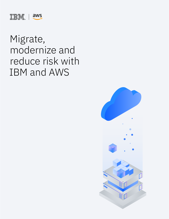

# Migrate, modernize and reduce risk with IBM and AWS

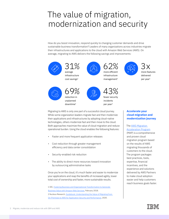### The value of migration, modernization and security

How do you boost innovation, respond quickly to changing customer demands and drive sustainable business transformation? Leaders of many organizations across industries migrate their infrastructures and applications to the cloud with Amazon Web Services (AWS). On average, migrating to AWS delivers the following savings and improvements:



Migrating to AWS is only one part of a successful cloud journey. While some organization leaders migrate fast and then modernize their applications and infrastructures by adopting cloud-native technologies, others modernize fast and then move to the cloud. Both approaches maximize the value of cloud migration and reduce operational burden. Using the cloud enables the following features:

- Faster and more frequent application releases
- Cost reduction through greater management efficiency and data center consolidation
- Security-enabled risk reduction
- The ability to direct more resources toward innovation by outsourcing administrative tasks

Once you're on the cloud, it's much faster and easier to modernize your applications and reap the benefits of increased agility, lower total cost of ownership and faster, more sustainable results.

1 IDC, [Fostering Business and Organizational Transformation to Generate](https://pages.awscloud.com/rs/112-TZM-766/images/AWS-BV%20IDC%202018.pdf)  [Business Value with Amazon Web Services,](https://pages.awscloud.com/rs/112-TZM-766/images/AWS-BV%20IDC%202018.pdf) February 2018. 2 Nucleus Research, [Guidebook: Understanding the Value of Migrating from](https://pages.awscloud.com/rs/112-TZM-766/images/the-value-of-improved-availability-security-and-performance.pdf)  [On-Premises to AWS for Application Security and Performance,](https://pages.awscloud.com/rs/112-TZM-766/images/the-value-of-improved-availability-security-and-performance.pdf) 2020.

#### **Accelerate your cloud migration and modernization journey**

#### The [AWS Migration](https://aws.amazon.com/migration-acceleration-program/)  [Acceleration Program](https://aws.amazon.com/migration-acceleration-program/)

(MAP) is a comprehensive and proven cloud migration program based on the results of AWS migrating thousands of customers to the cloud. The program packages best practices, tools, expertise, financial incentives, and the experience and solutions delivered by AWS Partners to make cloud adoption easier and help customers reach business goals faster.



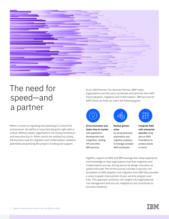

## The need for speed—and a partner

When it comes to migrating and operating in a cloud-first environment, the ability to move fast along the right path is critical. Without speed, organizations risk losing momentum and executive buy-in. When results are realized too slowly, the business case for migration and modernization weakens, potentially jeopardizing the project's funding and support.

As an AWS Premier Tier Services Partner, IBM® helps organizations just like yours accelerate and optimize their AWS Cloud adoption, migration and modernization. IBM services for AWS Cloud can help you reach the following goals:



**Drive innovation and faster time to market**  with application development and integration, testing, API and other IBM services.



**Realize greater value**  by using advanced automation and

cognitive analytics to manage complex AWS workloads.



**Integrate AWS with enterprise security** using Secure AWS Foundation to protect assets in cloud.

Together, experts at AWS and IBM leverage their deep experience and knowledge to help organizations fuel their migration and modernization journey, driving secure by design innovation at speed and scale. Part of this journey includes a security-rich foundation to AWS adoption and migration from IBM that provides a vision to guide improvement of your security program over time. This approach combines risk insights into organizational risk management and security integrations and contributes to business resilience.

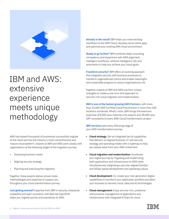

### IBM and AWS: extensive experience meets unique methodology

AWS has helped thousands of businesses successfully migrate to the cloud and has the industry's most comprehensive and mature cloud platform. Experts at IBM and AWS work closely with organizations at the following stages of the migration journey:

- Assessing business needs
- Aligning security strategy
- Planning and executing the migration

Together, these experts deliver proven tools, methodologies and expertise to support you throughout your cloud transformation journey.

**Just getting started?** Expertise from IBM in security, enterprise scalability and open innovation with Red Hat OpenShift helps you migrate quickly and seamlessly to AWS.

**Already in the cloud?** IBM helps you move existing workflows to the AWS Cloud, develop cloud-native apps and optimize your existing AWS Cloud environment.

**Ready to go further?** IBM combines deep consulting competency and experience with AWS alignment, intelligent workflows, artificial intelligence (AI) and automation to help you achieve your cloud goals.

**Transform security?** IBM offers an evolving approach that integrates security with business processes to transform organizational culture and enable meaningful and sustainable progress to reduce organizational risk.

Together, experts at IBM and AWS use their unique strengths to create a one-of-a-kind approach to security-rich cloud migration and modernization.

**IBM is one of the fastest growing AWS Partners**, with more than 10,000 AWS Certified Cloud Practitioners in more than 200 locations worldwide. What's more, IBM brings the extensive expertise of 8,000-plus cybersecurity experts and 38,000-plus SAP consultants to every AWS Cloud transformation project.

**IBM services** span every following stage of your AWS transformation journey:

- **• Cloud strategy:** Get an integrated set of capabilities that delivers an aligned business, IT and security strategy and operating model with a roadmap to help you realize value from your AWS investment.
- **• Cloud migration and modernization:** Accelerate your digital journey by migrating and modernizing both applications and infrastructure to AWS while simultaneously integrating a security-aligned DevOps and AIOps-based development and operating culture.
- **• Cloud development:** Co-create your next generation digital capabilities to transform your application portfolio and allow your business to harness cloud, data and AI technologies.
- **• Cloud management:** Enjoy security-rich, predictive and proactive management of applications and infrastructure with integrated FinOps for cloud.

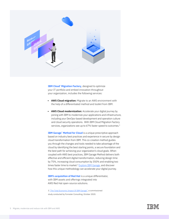

**IBM Cloud<sup>®</sup> Migration Factory**, designed to optimize your IT portfolio and embed innovation throughout your organization, includes the following services:

- **• AWS Cloud migration:** Migrate to an AWS environment with the help of a differentiated method and toolkit from IBM.
- **• AWS Cloud modernization:** Accelerate your digital journey by joining with IBM to modernize your applications and infrastructure, including your DevOps-based development and operation culture and cloud security operations. With IBM Cloud Migration Factory services, organizations see up to 67% faster speed to outcomes.<sup>3</sup>

**IBM Garage<sup>™</sup> Method for Cloud** is a unique prescriptive approach based on industry best practices and experience in secure by design cloud transformation from IBM. This co-creation method guides you through the changes and tools needed to take advantage of the cloud by identifying the best starting points, a secure foundation and the best path for achieving your organization's cloud goals. When coupled with AWS best practices, IBM Garage Method delivers both effective and efficient digital transformation, reducing design time by 75%, increasing cloud consumption by 350% and enabling two times faster time to market.<sup>3</sup> [Explore IBM Garage,](https://www.ibm.com/account/reg/us-en/signup?formid=urx-38886) and discover how this unique methodology can accelerate your digital journey.

**IBM's acquisition of Red Hat** is a unique differentiator, with IBM assets and offerings integrated into AWS Red Hat open-source solutions.

3 ["The Total Economic Impact Of IBM Garage"](https://www.ibm.com/garage), a commissioned study conducted by Forrester Consulting, October 2020.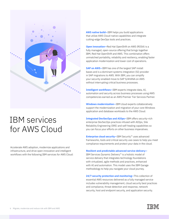

#### IBM services for AWS Cloud

Accelerate AWS adoption, modernize applications and infrastructure, and drive open innovation and intelligent workflows with the following IBM services for AWS Cloud: **AWS native build—**IBM helps you build applications that utilize AWS Cloud-native capabilities and integrate cutting-edge DevOps tools and practices.

**Open innovation—**Red Hat OpenShift on AWS (ROSA) is a fully managed, open-source offering that brings together IBM, Red Hat OpenShift and AWS. This combination offers unmatched portability, reliability and resiliency, enabling faster application modernization and lower cost of operations.

**SAP on AWS—**IBM has one of the largest SAP install bases and is a dominant systems integration (SI) provider in SAP migrations to AWS. With IBM, you can simplify your security-enabled move to SAP S/4HANA on AWS without interrupting critical business processes.

**Intelligent workflows—**IBM experts integrate data, AI, automation and security across business processes using AWS competencies earned as an AWS Premier Tier Services Partner.

**Windows modernization—**IBM cloud experts collaboratively support the modernization and migration of your core Windows application and database workloads to the AWS Cloud.

**Integrated DevSecOps and AIOps—**IBM offers security-rich enterprise DevSecOps practices infused with AIOps, Site Reliability Engineering (SRE) and self-healing capabilities so you can focus your efforts on other business imperatives.

**Enterprise cloud security—**IBM Security™ uses advanced frameworks, tools and critical security use cases to help you meet compliance requirements and protect your data in the cloud.

**Resilient and predictable advanced service delivery—** IBM Services Dynamic Delivery™ is a holistic model of service delivery that integrates technology foundations with virtualized, agile methods and practices, enhanced with AI and automation. This model uses the IBM Garage methodology to help you navigate your cloud journey.

**24/7 security protection and monitoring—**This collection of essential AWS resources delivered as a fully managed service includes vulnerability management, cloud security best practices and compliance, threat detection and response, network security, host and endpoint security, and application security.

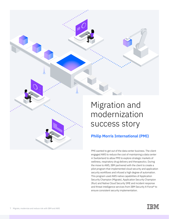

PMI wanted to get out of the data center business. The client engaged AWS to reduce the cost of maintaining a data center in Switzerland to allow PMI to explore strategic markets of wellness, respiratory drug delivery and therapeutics. During the move to AWS, IBM partnered with the client to create a pilot program that implemented cloud security and application security workflows and infused a high degree of automation. This program used AWS native capabilities of Application Security Champion (Migrate), Application Security Champion (Run) and Native Cloud Security SME and incident response and threat intelligence services from IBM Security X-Force® to ensure consistent security implementation.